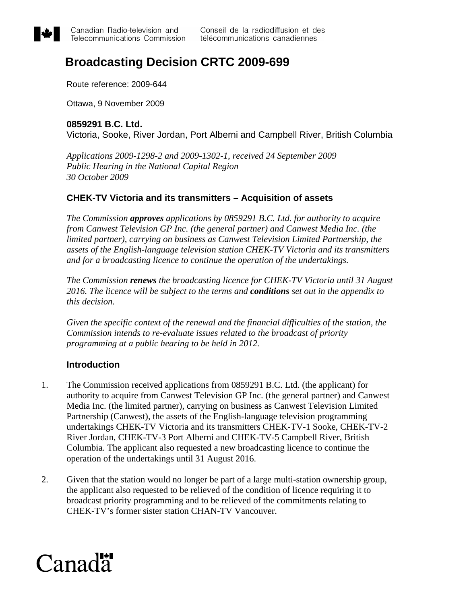

# **Broadcasting Decision CRTC 2009-699**

Route reference: 2009-644

Ottawa, 9 November 2009

### **0859291 B.C. Ltd.**

Victoria, Sooke, River Jordan, Port Alberni and Campbell River, British Columbia

*Applications 2009-1298-2 and 2009-1302-1, received 24 September 2009 Public Hearing in the National Capital Region 30 October 2009* 

# **CHEK-TV Victoria and its transmitters – Acquisition of assets**

*The Commission approves applications by 0859291 B.C. Ltd. for authority to acquire from Canwest Television GP Inc. (the general partner) and Canwest Media Inc. (the limited partner), carrying on business as Canwest Television Limited Partnership, the assets of the English-language television station CHEK-TV Victoria and its transmitters and for a broadcasting licence to continue the operation of the undertakings.* 

*The Commission renews the broadcasting licence for CHEK-TV Victoria until 31 August 2016. The licence will be subject to the terms and conditions set out in the appendix to this decision.* 

*Given the specific context of the renewal and the financial difficulties of the station, the Commission intends to re-evaluate issues related to the broadcast of priority programming at a public hearing to be held in 2012.* 

# **Introduction**

- 1. The Commission received applications from 0859291 B.C. Ltd. (the applicant) for authority to acquire from Canwest Television GP Inc. (the general partner) and Canwest Media Inc. (the limited partner), carrying on business as Canwest Television Limited Partnership (Canwest), the assets of the English-language television programming undertakings CHEK-TV Victoria and its transmitters CHEK-TV-1 Sooke, CHEK-TV-2 River Jordan, CHEK-TV-3 Port Alberni and CHEK-TV-5 Campbell River, British Columbia. The applicant also requested a new broadcasting licence to continue the operation of the undertakings until 31 August 2016.
- 2. Given that the station would no longer be part of a large multi-station ownership group, the applicant also requested to be relieved of the condition of licence requiring it to broadcast priority programming and to be relieved of the commitments relating to CHEK-TV's former sister station CHAN-TV Vancouver.

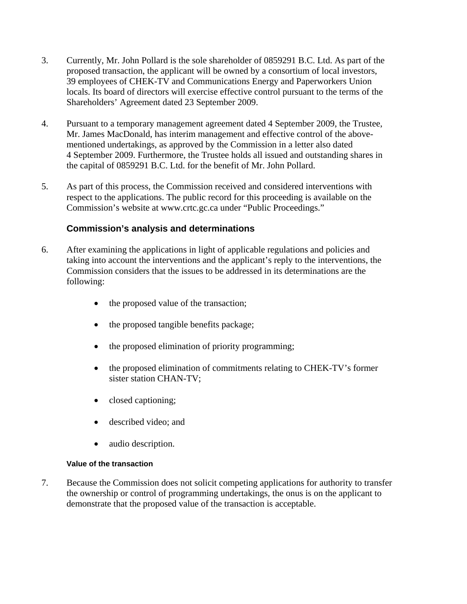- 3. Currently, Mr. John Pollard is the sole shareholder of 0859291 B.C. Ltd. As part of the proposed transaction, the applicant will be owned by a consortium of local investors, 39 employees of CHEK-TV and Communications Energy and Paperworkers Union locals. Its board of directors will exercise effective control pursuant to the terms of the Shareholders' Agreement dated 23 September 2009.
- 4. Pursuant to a temporary management agreement dated 4 September 2009, the Trustee, Mr. James MacDonald, has interim management and effective control of the abovementioned undertakings, as approved by the Commission in a letter also dated 4 September 2009. Furthermore, the Trustee holds all issued and outstanding shares in the capital of 0859291 B.C. Ltd. for the benefit of Mr. John Pollard.
- 5. As part of this process, the Commission received and considered interventions with respect to the applications. The public record for this proceeding is available on the Commission's website at www.crtc.gc.ca under "Public Proceedings."

# **Commission's analysis and determinations**

- 6. After examining the applications in light of applicable regulations and policies and taking into account the interventions and the applicant's reply to the interventions, the Commission considers that the issues to be addressed in its determinations are the following:
	- the proposed value of the transaction;
	- the proposed tangible benefits package;
	- the proposed elimination of priority programming;
	- the proposed elimination of commitments relating to CHEK-TV's former sister station CHAN-TV;
	- closed captioning;
	- described video: and
	- audio description.

#### **Value of the transaction**

7. Because the Commission does not solicit competing applications for authority to transfer the ownership or control of programming undertakings, the onus is on the applicant to demonstrate that the proposed value of the transaction is acceptable.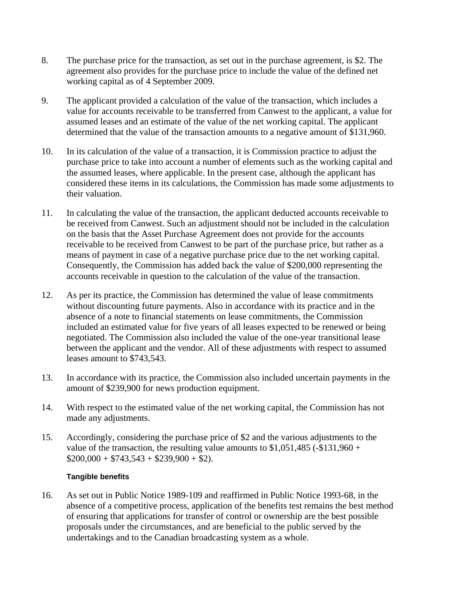- 8. The purchase price for the transaction, as set out in the purchase agreement, is \$2. The agreement also provides for the purchase price to include the value of the defined net working capital as of 4 September 2009.
- 9. The applicant provided a calculation of the value of the transaction, which includes a value for accounts receivable to be transferred from Canwest to the applicant, a value for assumed leases and an estimate of the value of the net working capital. The applicant determined that the value of the transaction amounts to a negative amount of \$131,960.
- 10. In its calculation of the value of a transaction, it is Commission practice to adjust the purchase price to take into account a number of elements such as the working capital and the assumed leases, where applicable. In the present case, although the applicant has considered these items in its calculations, the Commission has made some adjustments to their valuation.
- 11. In calculating the value of the transaction, the applicant deducted accounts receivable to be received from Canwest. Such an adjustment should not be included in the calculation on the basis that the Asset Purchase Agreement does not provide for the accounts receivable to be received from Canwest to be part of the purchase price, but rather as a means of payment in case of a negative purchase price due to the net working capital. Consequently, the Commission has added back the value of \$200,000 representing the accounts receivable in question to the calculation of the value of the transaction.
- 12. As per its practice, the Commission has determined the value of lease commitments without discounting future payments. Also in accordance with its practice and in the absence of a note to financial statements on lease commitments, the Commission included an estimated value for five years of all leases expected to be renewed or being negotiated. The Commission also included the value of the one-year transitional lease between the applicant and the vendor. All of these adjustments with respect to assumed leases amount to \$743,543.
- 13. In accordance with its practice, the Commission also included uncertain payments in the amount of \$239,900 for news production equipment.
- 14. With respect to the estimated value of the net working capital, the Commission has not made any adjustments.
- 15. Accordingly, considering the purchase price of \$2 and the various adjustments to the value of the transaction, the resulting value amounts to  $$1,051,485$  (- $$131,960 +$  $$200,000 + $743,543 + $239,900 + $2$ .

#### **Tangible benefits**

16. As set out in Public Notice 1989-109 and reaffirmed in Public Notice 1993-68, in the absence of a competitive process, application of the benefits test remains the best method of ensuring that applications for transfer of control or ownership are the best possible proposals under the circumstances, and are beneficial to the public served by the undertakings and to the Canadian broadcasting system as a whole.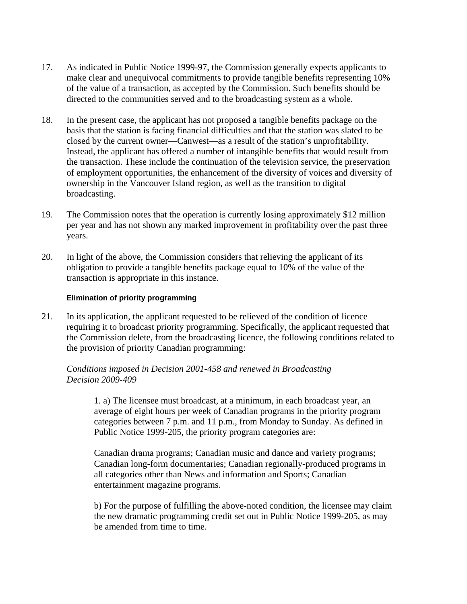- 17. As indicated in Public Notice 1999-97, the Commission generally expects applicants to make clear and unequivocal commitments to provide tangible benefits representing 10% of the value of a transaction, as accepted by the Commission. Such benefits should be directed to the communities served and to the broadcasting system as a whole.
- 18. In the present case, the applicant has not proposed a tangible benefits package on the basis that the station is facing financial difficulties and that the station was slated to be closed by the current owner—Canwest—as a result of the station's unprofitability. Instead, the applicant has offered a number of intangible benefits that would result from the transaction. These include the continuation of the television service, the preservation of employment opportunities, the enhancement of the diversity of voices and diversity of ownership in the Vancouver Island region, as well as the transition to digital broadcasting.
- 19. The Commission notes that the operation is currently losing approximately \$12 million per year and has not shown any marked improvement in profitability over the past three years.
- 20. In light of the above, the Commission considers that relieving the applicant of its obligation to provide a tangible benefits package equal to 10% of the value of the transaction is appropriate in this instance.

#### **Elimination of priority programming**

21. In its application, the applicant requested to be relieved of the condition of licence requiring it to broadcast priority programming. Specifically, the applicant requested that the Commission delete, from the broadcasting licence, the following conditions related to the provision of priority Canadian programming:

*Conditions imposed in Decision 2001-458 and renewed in Broadcasting Decision 2009-409* 

> 1. a) The licensee must broadcast, at a minimum, in each broadcast year, an average of eight hours per week of Canadian programs in the priority program categories between 7 p.m. and 11 p.m., from Monday to Sunday. As defined in Public Notice [1999-205,](http://www.crtc.gc.ca/eng/archive/1999/PB99-205.HTM) the priority program categories are:

> Canadian drama programs; Canadian music and dance and variety programs; Canadian long-form documentaries; Canadian regionally-produced programs in all categories other than News and information and Sports; Canadian entertainment magazine programs.

b) For the purpose of fulfilling the above-noted condition, the licensee may claim the new dramatic programming credit set out in Public Notice [1999-205](http://www.crtc.gc.ca/eng/archive/1999/PB99-205.HTM), as may be amended from time to time.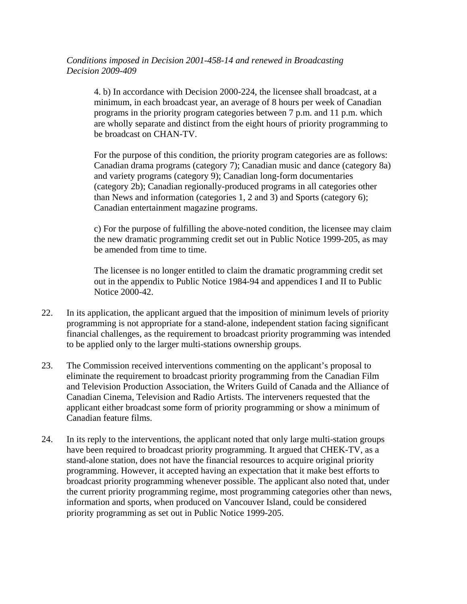*Conditions imposed in Decision 2001-458-14 and renewed in Broadcasting Decision 2009-409* 

4. b) In accordance with Decision 2000-224, the licensee shall broadcast, at a minimum, in each broadcast year, an average of 8 hours per week of Canadian programs in the priority program categories between 7 p.m. and 11 p.m. which are wholly separate and distinct from the eight hours of priority programming to be broadcast on CHAN-TV.

For the purpose of this condition, the priority program categories are as follows: Canadian drama programs (category 7); Canadian music and dance (category 8a) and variety programs (category 9); Canadian long-form documentaries (category 2b); Canadian regionally-produced programs in all categories other than News and information (categories 1, 2 and 3) and Sports (category 6); Canadian entertainment magazine programs.

c) For the purpose of fulfilling the above-noted condition, the licensee may claim the new dramatic programming credit set out in Public Notice 1999-205, as may be amended from time to time.

The licensee is no longer entitled to claim the dramatic programming credit set out in the appendix to Public Notice 1984-94 and appendices I and II to Public Notice 2000-42.

- 22. In its application, the applicant argued that the imposition of minimum levels of priority programming is not appropriate for a stand-alone, independent station facing significant financial challenges, as the requirement to broadcast priority programming was intended to be applied only to the larger multi-stations ownership groups.
- 23. The Commission received interventions commenting on the applicant's proposal to eliminate the requirement to broadcast priority programming from the Canadian Film and Television Production Association, the Writers Guild of Canada and the Alliance of Canadian Cinema, Television and Radio Artists. The interveners requested that the applicant either broadcast some form of priority programming or show a minimum of Canadian feature films.
- 24. In its reply to the interventions, the applicant noted that only large multi-station groups have been required to broadcast priority programming. It argued that CHEK-TV, as a stand-alone station, does not have the financial resources to acquire original priority programming. However, it accepted having an expectation that it make best efforts to broadcast priority programming whenever possible. The applicant also noted that, under the current priority programming regime, most programming categories other than news, information and sports, when produced on Vancouver Island, could be considered priority programming as set out in Public Notice 1999-205.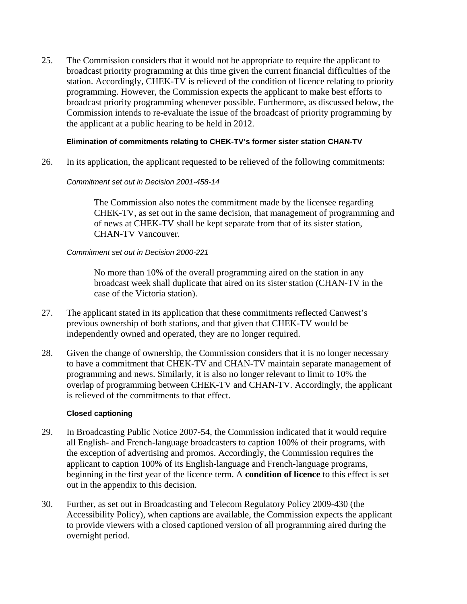25. The Commission considers that it would not be appropriate to require the applicant to broadcast priority programming at this time given the current financial difficulties of the station. Accordingly, CHEK-TV is relieved of the condition of licence relating to priority programming. However, the Commission expects the applicant to make best efforts to broadcast priority programming whenever possible. Furthermore, as discussed below, the Commission intends to re-evaluate the issue of the broadcast of priority programming by the applicant at a public hearing to be held in 2012.

#### **Elimination of commitments relating to CHEK-TV's former sister station CHAN-TV**

26. In its application, the applicant requested to be relieved of the following commitments:

#### *Commitment set out in Decision 2001-458-14*

The Commission also notes the commitment made by the licensee regarding CHEK-TV, as set out in the same decision, that management of programming and of news at CHEK-TV shall be kept separate from that of its sister station, CHAN-TV Vancouver.

#### *Commitment set out in Decision 2000-221*

No more than 10% of the overall programming aired on the station in any broadcast week shall duplicate that aired on its sister station (CHAN-TV in the case of the Victoria station).

- 27. The applicant stated in its application that these commitments reflected Canwest's previous ownership of both stations, and that given that CHEK-TV would be independently owned and operated, they are no longer required.
- 28. Given the change of ownership, the Commission considers that it is no longer necessary to have a commitment that CHEK-TV and CHAN-TV maintain separate management of programming and news. Similarly, it is also no longer relevant to limit to 10% the overlap of programming between CHEK-TV and CHAN-TV. Accordingly, the applicant is relieved of the commitments to that effect.

#### **Closed captioning**

- 29. In Broadcasting Public Notice 2007-54, the Commission indicated that it would require all English- and French-language broadcasters to caption 100% of their programs, with the exception of advertising and promos. Accordingly, the Commission requires the applicant to caption 100% of its English-language and French-language programs, beginning in the first year of the licence term. A **condition of licence** to this effect is set out in the appendix to this decision.
- 30. Further, as set out in Broadcasting and Telecom Regulatory Policy 2009-430 (the Accessibility Policy), when captions are available, the Commission expects the applicant to provide viewers with a closed captioned version of all programming aired during the overnight period.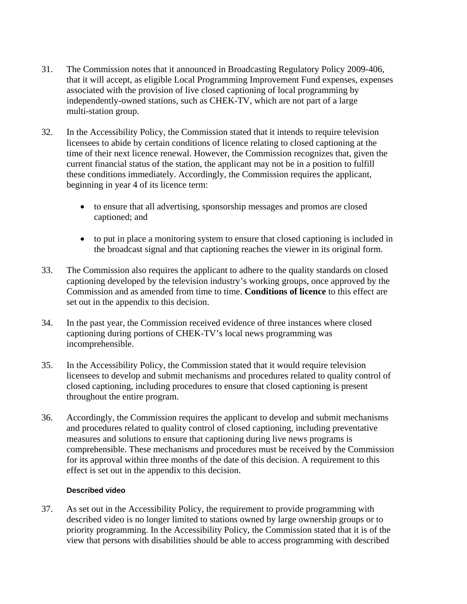- 31. The Commission notes that it announced in Broadcasting Regulatory Policy 2009-406, that it will accept, as eligible Local Programming Improvement Fund expenses, expenses associated with the provision of live closed captioning of local programming by independently-owned stations, such as CHEK-TV, which are not part of a large multi-station group.
- 32. In the Accessibility Policy, the Commission stated that it intends to require television licensees to abide by certain conditions of licence relating to closed captioning at the time of their next licence renewal. However, the Commission recognizes that, given the current financial status of the station, the applicant may not be in a position to fulfill these conditions immediately. Accordingly, the Commission requires the applicant, beginning in year 4 of its licence term:
	- to ensure that all advertising, sponsorship messages and promos are closed captioned; and
	- to put in place a monitoring system to ensure that closed captioning is included in the broadcast signal and that captioning reaches the viewer in its original form.
- 33. The Commission also requires the applicant to adhere to the quality standards on closed captioning developed by the television industry's working groups, once approved by the Commission and as amended from time to time. **Conditions of licence** to this effect are set out in the appendix to this decision.
- 34. In the past year, the Commission received evidence of three instances where closed captioning during portions of CHEK-TV's local news programming was incomprehensible.
- 35. In the Accessibility Policy, the Commission stated that it would require television licensees to develop and submit mechanisms and procedures related to quality control of closed captioning, including procedures to ensure that closed captioning is present throughout the entire program.
- 36. Accordingly, the Commission requires the applicant to develop and submit mechanisms and procedures related to quality control of closed captioning, including preventative measures and solutions to ensure that captioning during live news programs is comprehensible. These mechanisms and procedures must be received by the Commission for its approval within three months of the date of this decision. A requirement to this effect is set out in the appendix to this decision.

#### **Described video**

37. As set out in the Accessibility Policy, the requirement to provide programming with described video is no longer limited to stations owned by large ownership groups or to priority programming. In the Accessibility Policy, the Commission stated that it is of the view that persons with disabilities should be able to access programming with described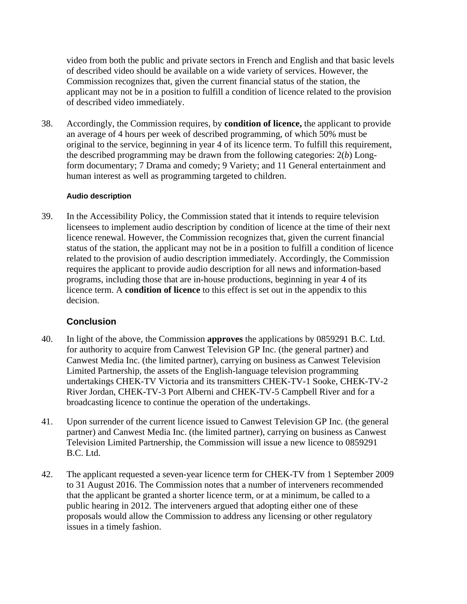video from both the public and private sectors in French and English and that basic levels of described video should be available on a wide variety of services. However, the Commission recognizes that, given the current financial status of the station, the applicant may not be in a position to fulfill a condition of licence related to the provision of described video immediately.

38. Accordingly, the Commission requires, by **condition of licence,** the applicant to provide an average of 4 hours per week of described programming, of which 50% must be original to the service, beginning in year 4 of its licence term. To fulfill this requirement, the described programming may be drawn from the following categories: 2(*b*) Longform documentary; 7 Drama and comedy; 9 Variety; and 11 General entertainment and human interest as well as programming targeted to children.

#### **Audio description**

39. In the Accessibility Policy, the Commission stated that it intends to require television licensees to implement audio description by condition of licence at the time of their next licence renewal. However, the Commission recognizes that, given the current financial status of the station, the applicant may not be in a position to fulfill a condition of licence related to the provision of audio description immediately. Accordingly, the Commission requires the applicant to provide audio description for all news and information-based programs, including those that are in-house productions, beginning in year 4 of its licence term. A **condition of licence** to this effect is set out in the appendix to this decision.

# **Conclusion**

- 40. In light of the above, the Commission **approves** the applications by 0859291 B.C. Ltd. for authority to acquire from Canwest Television GP Inc. (the general partner) and Canwest Media Inc. (the limited partner), carrying on business as Canwest Television Limited Partnership, the assets of the English-language television programming undertakings CHEK-TV Victoria and its transmitters CHEK-TV-1 Sooke, CHEK-TV-2 River Jordan, CHEK-TV-3 Port Alberni and CHEK-TV-5 Campbell River and for a broadcasting licence to continue the operation of the undertakings.
- 41. Upon surrender of the current licence issued to Canwest Television GP Inc. (the general partner) and Canwest Media Inc. (the limited partner), carrying on business as Canwest Television Limited Partnership, the Commission will issue a new licence to 0859291 B.C. Ltd.
- 42. The applicant requested a seven-year licence term for CHEK-TV from 1 September 2009 to 31 August 2016. The Commission notes that a number of interveners recommended that the applicant be granted a shorter licence term, or at a minimum, be called to a public hearing in 2012. The interveners argued that adopting either one of these proposals would allow the Commission to address any licensing or other regulatory issues in a timely fashion.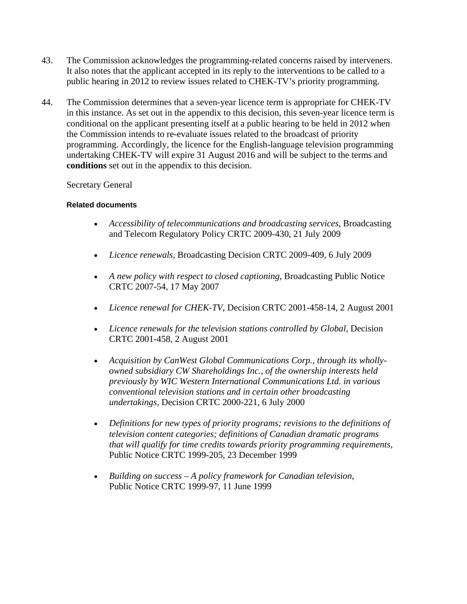- 43. The Commission acknowledges the programming-related concerns raised by interveners. It also notes that the applicant accepted in its reply to the interventions to be called to a public hearing in 2012 to review issues related to CHEK-TV's priority programming.
- 44. The Commission determines that a seven-year licence term is appropriate for CHEK-TV in this instance. As set out in the appendix to this decision, this seven-year licence term is conditional on the applicant presenting itself at a public hearing to be held in 2012 when the Commission intends to re-evaluate issues related to the broadcast of priority programming. Accordingly, the licence for the English-language television programming undertaking CHEK-TV will expire 31 August 2016 and will be subject to the terms and **conditions** set out in the appendix to this decision.

#### Secretary General

#### **Related documents**

- *Accessibility of telecommunications and broadcasting services*, Broadcasting and Telecom Regulatory Policy CRTC 2009-430, 21 July 2009
- *Licence renewals*, Broadcasting Decision CRTC 2009-409, 6 July 2009
- *A new policy with respect to closed captioning*, Broadcasting Public Notice CRTC 2007-54, 17 May 2007
- *Licence renewal for CHEK-TV*, Decision CRTC 2001-458-14, 2 August 2001
- *Licence renewals for the television stations controlled by Global*, Decision CRTC 2001-458, 2 August 2001
- *Acquisition by CanWest Global Communications Corp., through its whollyowned subsidiary CW Shareholdings Inc., of the ownership interests held previously by WIC Western International Communications Ltd. in various conventional television stations and in certain other broadcasting undertakings*, Decision CRTC 2000-221, 6 July 2000
- *Definitions for new types of priority programs; revisions to the definitions of television content categories; definitions of Canadian dramatic programs that will qualify for time credits towards priority programming requirements*, Public Notice CRTC 1999-205, 23 December 1999
- *Building on success A policy framework for Canadian television*, Public Notice CRTC 1999-97, 11 June 1999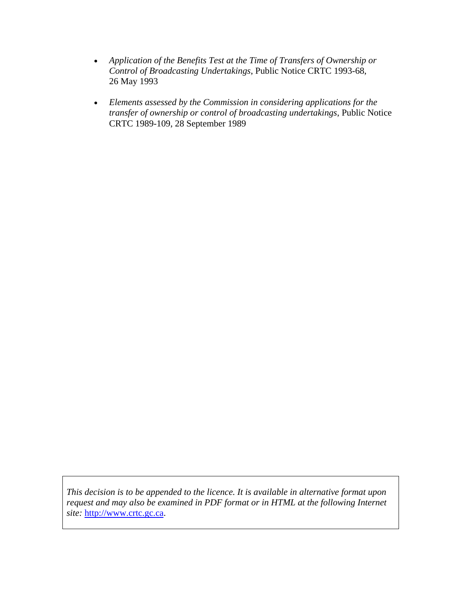- *Application of the Benefits Test at the Time of Transfers of Ownership or Control of Broadcasting Undertakings*, Public Notice CRTC 1993-68, 26 May 1993
- *Elements assessed by the Commission in considering applications for the transfer of ownership or control of broadcasting undertakings*, Public Notice CRTC 1989-109, 28 September 1989

*This decision is to be appended to the licence. It is available in alternative format upon request and may also be examined in PDF format or in HTML at the following Internet site:* [http://www.crtc.gc.ca.](http://www.crtc.gc.ca/)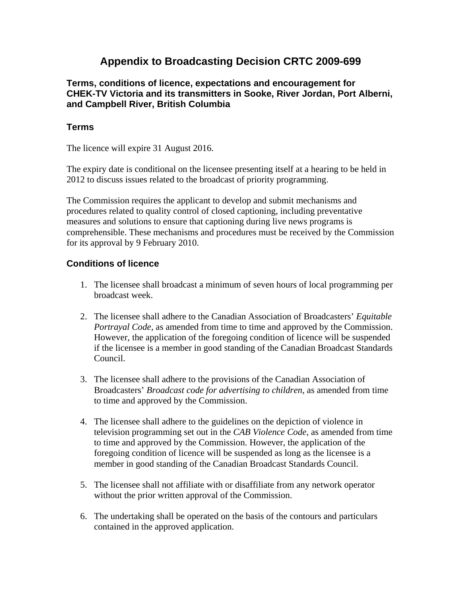# **Appendix to Broadcasting Decision CRTC 2009-699**

**Terms, conditions of licence, expectations and encouragement for CHEK-TV Victoria and its transmitters in Sooke, River Jordan, Port Alberni, and Campbell River, British Columbia** 

# **Terms**

The licence will expire 31 August 2016.

The expiry date is conditional on the licensee presenting itself at a hearing to be held in 2012 to discuss issues related to the broadcast of priority programming.

The Commission requires the applicant to develop and submit mechanisms and procedures related to quality control of closed captioning, including preventative measures and solutions to ensure that captioning during live news programs is comprehensible. These mechanisms and procedures must be received by the Commission for its approval by 9 February 2010.

#### **Conditions of licence**

- 1. The licensee shall broadcast a minimum of seven hours of local programming per broadcast week.
- 2. The licensee shall adhere to the Canadian Association of Broadcasters' *Equitable Portrayal Code*, as amended from time to time and approved by the Commission. However, the application of the foregoing condition of licence will be suspended if the licensee is a member in good standing of the Canadian Broadcast Standards Council.
- 3. The licensee shall adhere to the provisions of the Canadian Association of Broadcasters' *Broadcast code for advertising to children*, as amended from time to time and approved by the Commission.
- 4. The licensee shall adhere to the guidelines on the depiction of violence in television programming set out in the *CAB Violence Code*, as amended from time to time and approved by the Commission. However, the application of the foregoing condition of licence will be suspended as long as the licensee is a member in good standing of the Canadian Broadcast Standards Council.
- 5. The licensee shall not affiliate with or disaffiliate from any network operator without the prior written approval of the Commission.
- 6. The undertaking shall be operated on the basis of the contours and particulars contained in the approved application.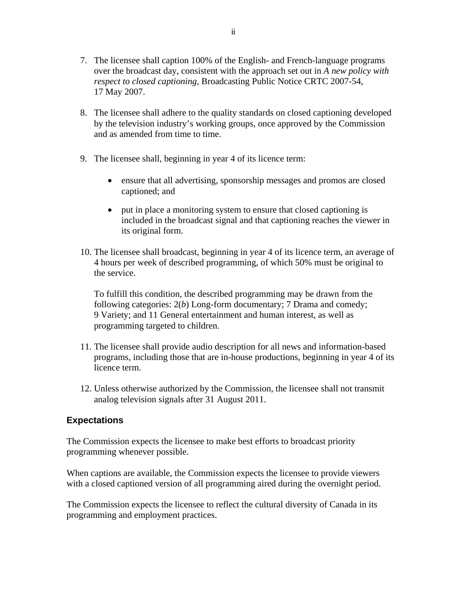- 7. The licensee shall caption 100% of the English- and French-language programs over the broadcast day, consistent with the approach set out in *A new policy with respect to closed captioning*, Broadcasting Public Notice CRTC 2007-54, 17 May 2007.
- 8. The licensee shall adhere to the quality standards on closed captioning developed by the television industry's working groups, once approved by the Commission and as amended from time to time.
- 9. The licensee shall, beginning in year 4 of its licence term:
	- ensure that all advertising, sponsorship messages and promos are closed captioned; and
	- put in place a monitoring system to ensure that closed captioning is included in the broadcast signal and that captioning reaches the viewer in its original form.
- 10. The licensee shall broadcast, beginning in year 4 of its licence term, an average of 4 hours per week of described programming, of which 50% must be original to the service.

To fulfill this condition, the described programming may be drawn from the following categories: 2(*b*) Long-form documentary; 7 Drama and comedy; 9 Variety; and 11 General entertainment and human interest, as well as programming targeted to children.

- 11. The licensee shall provide audio description for all news and information-based programs, including those that are in-house productions, beginning in year 4 of its licence term.
- 12. Unless otherwise authorized by the Commission, the licensee shall not transmit analog television signals after 31 August 2011.

#### **Expectations**

The Commission expects the licensee to make best efforts to broadcast priority programming whenever possible.

When captions are available, the Commission expects the licensee to provide viewers with a closed captioned version of all programming aired during the overnight period.

The Commission expects the licensee to reflect the cultural diversity of Canada in its programming and employment practices.